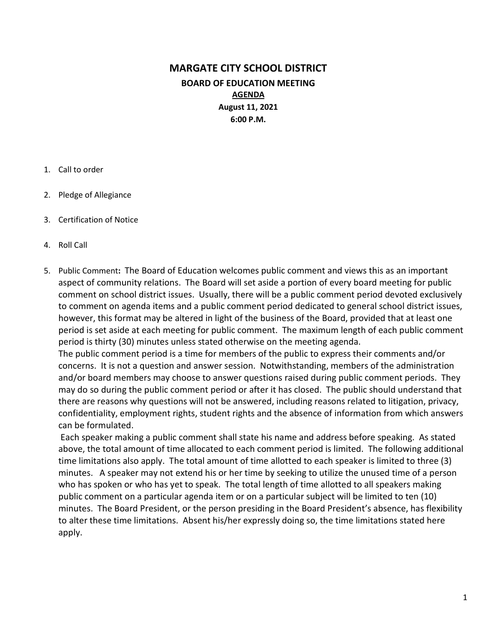# MARGATE CITY SCHOOL DISTRICT BOARD OF EDUCATION MEETING AGENDA August 11, 2021 6:00 P.M.

- 1. Call to order
- 2. Pledge of Allegiance
- 3. Certification of Notice
- 4. Roll Call
- 5. Public Comment: The Board of Education welcomes public comment and views this as an important aspect of community relations. The Board will set aside a portion of every board meeting for public comment on school district issues. Usually, there will be a public comment period devoted exclusively to comment on agenda items and a public comment period dedicated to general school district issues, however, this format may be altered in light of the business of the Board, provided that at least one period is set aside at each meeting for public comment. The maximum length of each public comment period is thirty (30) minutes unless stated otherwise on the meeting agenda.

The public comment period is a time for members of the public to express their comments and/or concerns. It is not a question and answer session. Notwithstanding, members of the administration and/or board members may choose to answer questions raised during public comment periods. They may do so during the public comment period or after it has closed. The public should understand that there are reasons why questions will not be answered, including reasons related to litigation, privacy, confidentiality, employment rights, student rights and the absence of information from which answers can be formulated.

 Each speaker making a public comment shall state his name and address before speaking. As stated above, the total amount of time allocated to each comment period is limited. The following additional time limitations also apply. The total amount of time allotted to each speaker is limited to three (3) minutes. A speaker may not extend his or her time by seeking to utilize the unused time of a person who has spoken or who has yet to speak. The total length of time allotted to all speakers making public comment on a particular agenda item or on a particular subject will be limited to ten (10) minutes. The Board President, or the person presiding in the Board President's absence, has flexibility to alter these time limitations. Absent his/her expressly doing so, the time limitations stated here apply.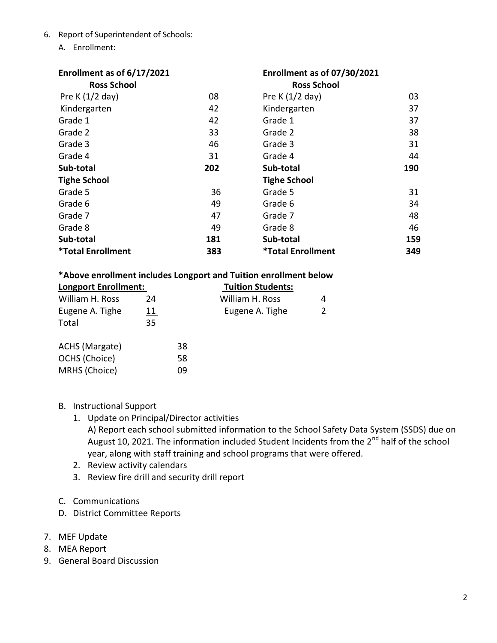- 6. Report of Superintendent of Schools:
	- A. Enrollment:

| Enrollment as of 6/17/2021<br><b>Ross School</b> |     | Enrollment as of 07/30/2021<br><b>Ross School</b> |     |
|--------------------------------------------------|-----|---------------------------------------------------|-----|
| Pre K $(1/2$ day)                                | 08  | Pre K $(1/2$ day)                                 | 03  |
| Kindergarten                                     | 42  | Kindergarten                                      | 37  |
| Grade 1                                          | 42  | Grade 1                                           | 37  |
| Grade 2                                          | 33  | Grade 2                                           | 38  |
| Grade 3                                          | 46  | Grade 3                                           | 31  |
| Grade 4                                          | 31  | Grade 4                                           | 44  |
| Sub-total                                        | 202 | Sub-total                                         | 190 |
| <b>Tighe School</b>                              |     | <b>Tighe School</b>                               |     |
| Grade 5                                          | 36  | Grade 5                                           | 31  |
| Grade 6                                          | 49  | Grade 6                                           | 34  |
| Grade 7                                          | 47  | Grade 7                                           | 48  |
| Grade 8                                          | 49  | Grade 8                                           | 46  |
| Sub-total                                        | 181 | Sub-total                                         | 159 |
| <i><b>*Total Enrollment</b></i>                  | 383 | <i><b>*Total Enrollment</b></i>                   | 349 |

#### \*Above enrollment includes Longport and Tuition enrollment below

| <b>Longport Enrollment:</b> |            |    | <b>Tuition Students:</b> |   |
|-----------------------------|------------|----|--------------------------|---|
| William H. Ross             | 24         |    | William H. Ross          | 4 |
| Eugene A. Tighe             | <u> 11</u> |    | Eugene A. Tighe          |   |
| Total                       | 35         |    |                          |   |
| ACHS (Margate)              |            | 38 |                          |   |
| OCHS (Choice)               |            | 58 |                          |   |
| MRHS (Choice)               |            | 09 |                          |   |
|                             |            |    |                          |   |

- B. Instructional Support
	- 1. Update on Principal/Director activities
		- A) Report each school submitted information to the School Safety Data System (SSDS) due on August 10, 2021. The information included Student Incidents from the 2<sup>nd</sup> half of the school year, along with staff training and school programs that were offered.
	- 2. Review activity calendars
	- 3. Review fire drill and security drill report
- C. Communications
- D. District Committee Reports
- 7. MEF Update
- 8. MEA Report
- 9. General Board Discussion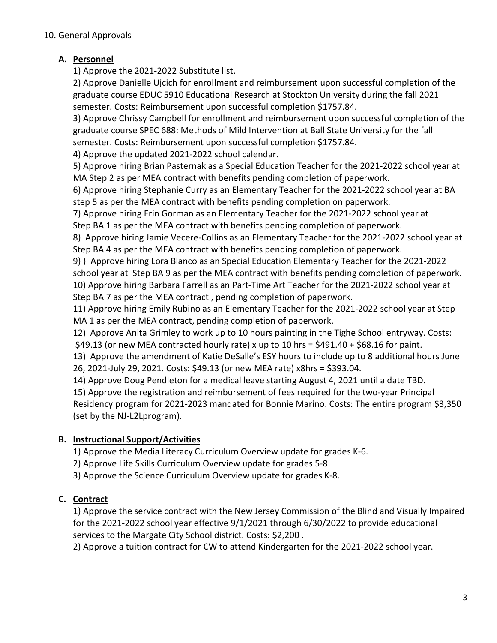### A. Personnel

1) Approve the 2021-2022 Substitute list.

2) Approve Danielle Ujcich for enrollment and reimbursement upon successful completion of the graduate course EDUC 5910 Educational Research at Stockton University during the fall 2021 semester. Costs: Reimbursement upon successful completion \$1757.84.

3) Approve Chrissy Campbell for enrollment and reimbursement upon successful completion of the graduate course SPEC 688: Methods of Mild Intervention at Ball State University for the fall semester. Costs: Reimbursement upon successful completion \$1757.84.

4) Approve the updated 2021-2022 school calendar.

5) Approve hiring Brian Pasternak as a Special Education Teacher for the 2021-2022 school year at MA Step 2 as per MEA contract with benefits pending completion of paperwork.

6) Approve hiring Stephanie Curry as an Elementary Teacher for the 2021-2022 school year at BA step 5 as per the MEA contract with benefits pending completion on paperwork.

7) Approve hiring Erin Gorman as an Elementary Teacher for the 2021-2022 school year at Step BA 1 as per the MEA contract with benefits pending completion of paperwork.

8) Approve hiring Jamie Vecere-Collins as an Elementary Teacher for the 2021-2022 school year at Step BA 4 as per the MEA contract with benefits pending completion of paperwork.

9) ) Approve hiring Lora Blanco as an Special Education Elementary Teacher for the 2021-2022 school year at Step BA 9 as per the MEA contract with benefits pending completion of paperwork. 10) Approve hiring Barbara Farrell as an Part-Time Art Teacher for the 2021-2022 school year at Step BA 7-as per the MEA contract, pending completion of paperwork.

11) Approve hiring Emily Rubino as an Elementary Teacher for the 2021-2022 school year at Step MA 1 as per the MEA contract, pending completion of paperwork.

12) Approve Anita Grimley to work up to 10 hours painting in the Tighe School entryway. Costs:

\$49.13 (or new MEA contracted hourly rate) x up to 10 hrs = \$491.40 + \$68.16 for paint.

13) Approve the amendment of Katie DeSalle's ESY hours to include up to 8 additional hours June 26, 2021-July 29, 2021. Costs: \$49.13 (or new MEA rate) x8hrs = \$393.04.

14) Approve Doug Pendleton for a medical leave starting August 4, 2021 until a date TBD.

15) Approve the registration and reimbursement of fees required for the two-year Principal Residency program for 2021-2023 mandated for Bonnie Marino. Costs: The entire program \$3,350 (set by the NJ-L2Lprogram).

# B. Instructional Support/Activities

1) Approve the Media Literacy Curriculum Overview update for grades K-6.

2) Approve Life Skills Curriculum Overview update for grades 5-8.

3) Approve the Science Curriculum Overview update for grades K-8.

# C. Contract

1) Approve the service contract with the New Jersey Commission of the Blind and Visually Impaired for the 2021-2022 school year effective 9/1/2021 through 6/30/2022 to provide educational services to the Margate City School district. Costs: \$2,200 .

2) Approve a tuition contract for CW to attend Kindergarten for the 2021-2022 school year.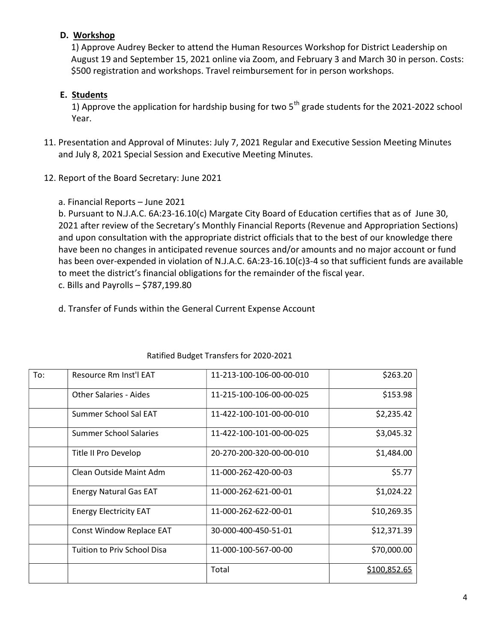### D. Workshop

1) Approve Audrey Becker to attend the Human Resources Workshop for District Leadership on August 19 and September 15, 2021 online via Zoom, and February 3 and March 30 in person. Costs: \$500 registration and workshops. Travel reimbursement for in person workshops.

#### E. Students

1) Approve the application for hardship busing for two  $5<sup>th</sup>$  grade students for the 2021-2022 school Year.

- 11. Presentation and Approval of Minutes: July 7, 2021 Regular and Executive Session Meeting Minutes and July 8, 2021 Special Session and Executive Meeting Minutes.
- 12. Report of the Board Secretary: June 2021
	- a. Financial Reports June 2021

b. Pursuant to N.J.A.C. 6A:23-16.10(c) Margate City Board of Education certifies that as of June 30, 2021 after review of the Secretary's Monthly Financial Reports (Revenue and Appropriation Sections) and upon consultation with the appropriate district officials that to the best of our knowledge there have been no changes in anticipated revenue sources and/or amounts and no major account or fund has been over-expended in violation of N.J.A.C. 6A:23-16.10(c)3-4 so that sufficient funds are available to meet the district's financial obligations for the remainder of the fiscal year. c. Bills and Payrolls – \$787,199.80

d. Transfer of Funds within the General Current Expense Account

| To: | Resource Rm Inst'l EAT        | 11-213-100-106-00-00-010 | \$263.20            |
|-----|-------------------------------|--------------------------|---------------------|
|     | Other Salaries - Aides        | 11-215-100-106-00-00-025 | \$153.98            |
|     | Summer School Sal EAT         | 11-422-100-101-00-00-010 | \$2,235.42          |
|     | Summer School Salaries        | 11-422-100-101-00-00-025 | \$3,045.32          |
|     | Title II Pro Develop          | 20-270-200-320-00-00-010 | \$1,484.00          |
|     | Clean Outside Maint Adm       | 11-000-262-420-00-03     | \$5.77              |
|     | <b>Energy Natural Gas EAT</b> | 11-000-262-621-00-01     | \$1,024.22          |
|     | <b>Energy Electricity EAT</b> | 11-000-262-622-00-01     | \$10,269.35         |
|     | Const Window Replace EAT      | 30-000-400-450-51-01     | \$12,371.39         |
|     | Tuition to Priv School Disa   | 11-000-100-567-00-00     | \$70,000.00         |
|     |                               | Total                    | <u>\$100,852.65</u> |

#### Ratified Budget Transfers for 2020-2021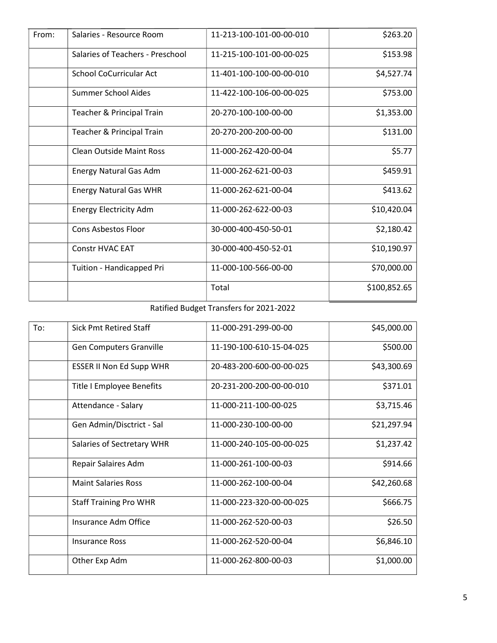| From: | Salaries - Resource Room         | 11-213-100-101-00-00-010 | \$263.20     |
|-------|----------------------------------|--------------------------|--------------|
|       | Salaries of Teachers - Preschool | 11-215-100-101-00-00-025 | \$153.98     |
|       | School CoCurricular Act          | 11-401-100-100-00-00-010 | \$4,527.74   |
|       | <b>Summer School Aides</b>       | 11-422-100-106-00-00-025 | \$753.00     |
|       | Teacher & Principal Train        | 20-270-100-100-00-00     | \$1,353.00   |
|       | Teacher & Principal Train        | 20-270-200-200-00-00     | \$131.00     |
|       | <b>Clean Outside Maint Ross</b>  | 11-000-262-420-00-04     | \$5.77       |
|       | <b>Energy Natural Gas Adm</b>    | 11-000-262-621-00-03     | \$459.91     |
|       | <b>Energy Natural Gas WHR</b>    | 11-000-262-621-00-04     | \$413.62     |
|       | <b>Energy Electricity Adm</b>    | 11-000-262-622-00-03     | \$10,420.04  |
|       | <b>Cons Asbestos Floor</b>       | 30-000-400-450-50-01     | \$2,180.42   |
|       | <b>Constr HVAC EAT</b>           | 30-000-400-450-52-01     | \$10,190.97  |
|       | Tuition - Handicapped Pri        | 11-000-100-566-00-00     | \$70,000.00  |
|       |                                  | Total                    | \$100,852.65 |

## Ratified Budget Transfers for 2021-2022

| To: | <b>Sick Pmt Retired Staff</b>   | 11-000-291-299-00-00     | \$45,000.00 |
|-----|---------------------------------|--------------------------|-------------|
|     | Gen Computers Granville         | 11-190-100-610-15-04-025 | \$500.00    |
|     | <b>ESSER II Non Ed Supp WHR</b> | 20-483-200-600-00-00-025 | \$43,300.69 |
|     | Title I Employee Benefits       | 20-231-200-200-00-00-010 | \$371.01    |
|     | Attendance - Salary             | 11-000-211-100-00-025    | \$3,715.46  |
|     | Gen Admin/Disctrict - Sal       | 11-000-230-100-00-00     | \$21,297.94 |
|     | Salaries of Sectretary WHR      | 11-000-240-105-00-00-025 | \$1,237.42  |
|     | Repair Salaires Adm             | 11-000-261-100-00-03     | \$914.66    |
|     | <b>Maint Salaries Ross</b>      | 11-000-262-100-00-04     | \$42,260.68 |
|     | <b>Staff Training Pro WHR</b>   | 11-000-223-320-00-00-025 | \$666.75    |
|     | Insurance Adm Office            | 11-000-262-520-00-03     | \$26.50     |
|     | <b>Insurance Ross</b>           | 11-000-262-520-00-04     | \$6,846.10  |
|     | Other Exp Adm                   | 11-000-262-800-00-03     | \$1,000.00  |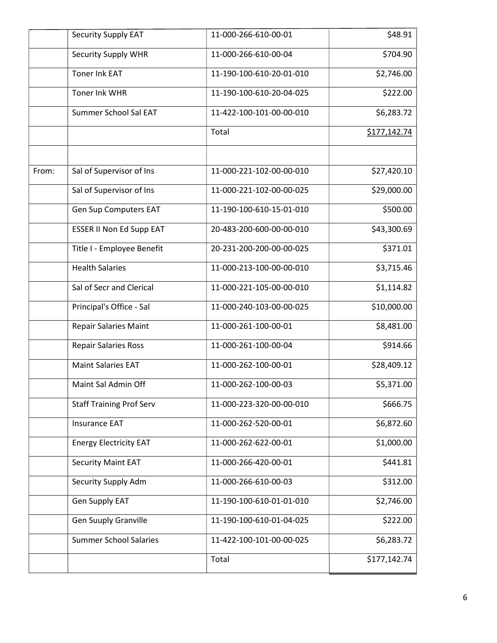|       | Security Supply EAT             | 11-000-266-610-00-01     | \$48.91      |
|-------|---------------------------------|--------------------------|--------------|
|       | Security Supply WHR             | 11-000-266-610-00-04     | \$704.90     |
|       | <b>Toner Ink EAT</b>            | 11-190-100-610-20-01-010 | \$2,746.00   |
|       | Toner Ink WHR                   | 11-190-100-610-20-04-025 | \$222.00     |
|       | Summer School Sal EAT           | 11-422-100-101-00-00-010 | \$6,283.72   |
|       |                                 | Total                    | \$177,142.74 |
|       |                                 |                          |              |
| From: | Sal of Supervisor of Ins        | 11-000-221-102-00-00-010 | \$27,420.10  |
|       | Sal of Supervisor of Ins        | 11-000-221-102-00-00-025 | \$29,000.00  |
|       | Gen Sup Computers EAT           | 11-190-100-610-15-01-010 | \$500.00     |
|       | <b>ESSER II Non Ed Supp EAT</b> | 20-483-200-600-00-00-010 | \$43,300.69  |
|       | Title I - Employee Benefit      | 20-231-200-200-00-00-025 | \$371.01     |
|       | <b>Health Salaries</b>          | 11-000-213-100-00-00-010 | \$3,715.46   |
|       | Sal of Secr and Clerical        | 11-000-221-105-00-00-010 | \$1,114.82   |
|       | Principal's Office - Sal        | 11-000-240-103-00-00-025 | \$10,000.00  |
|       | <b>Repair Salaries Maint</b>    | 11-000-261-100-00-01     | \$8,481.00   |
|       | <b>Repair Salaries Ross</b>     | 11-000-261-100-00-04     | \$914.66     |
|       | <b>Maint Salaries EAT</b>       | 11-000-262-100-00-01     | \$28,409.12  |
|       | Maint Sal Admin Off             | 11-000-262-100-00-03     | \$5,371.00   |
|       | <b>Staff Training Prof Serv</b> | 11-000-223-320-00-00-010 | \$666.75     |
|       | <b>Insurance EAT</b>            | 11-000-262-520-00-01     | \$6,872.60   |
|       | <b>Energy Electricity EAT</b>   | 11-000-262-622-00-01     | \$1,000.00   |
|       | Security Maint EAT              | 11-000-266-420-00-01     | \$441.81     |
|       | Security Supply Adm             | 11-000-266-610-00-03     | \$312.00     |
|       | Gen Supply EAT                  | 11-190-100-610-01-01-010 | \$2,746.00   |
|       | <b>Gen Suuply Granville</b>     | 11-190-100-610-01-04-025 | \$222.00     |
|       | <b>Summer School Salaries</b>   | 11-422-100-101-00-00-025 | \$6,283.72   |
|       |                                 | Total                    | \$177,142.74 |
|       |                                 |                          |              |